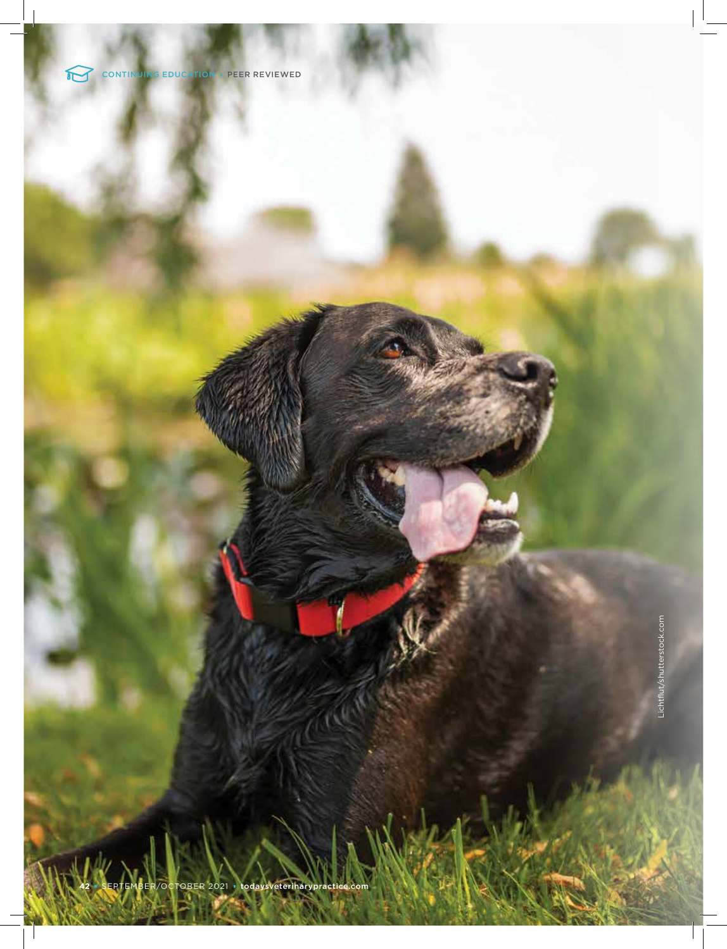

**CONTINUING EDUCATION PEER REVIEWED** 

Lichtflut/shutterstock.com Lichtflut/shutterstock.com

**42** SEPTEMBER/OCTOBER 2021todaysveterinarypractice.com

 $\overline{\phantom{a}}$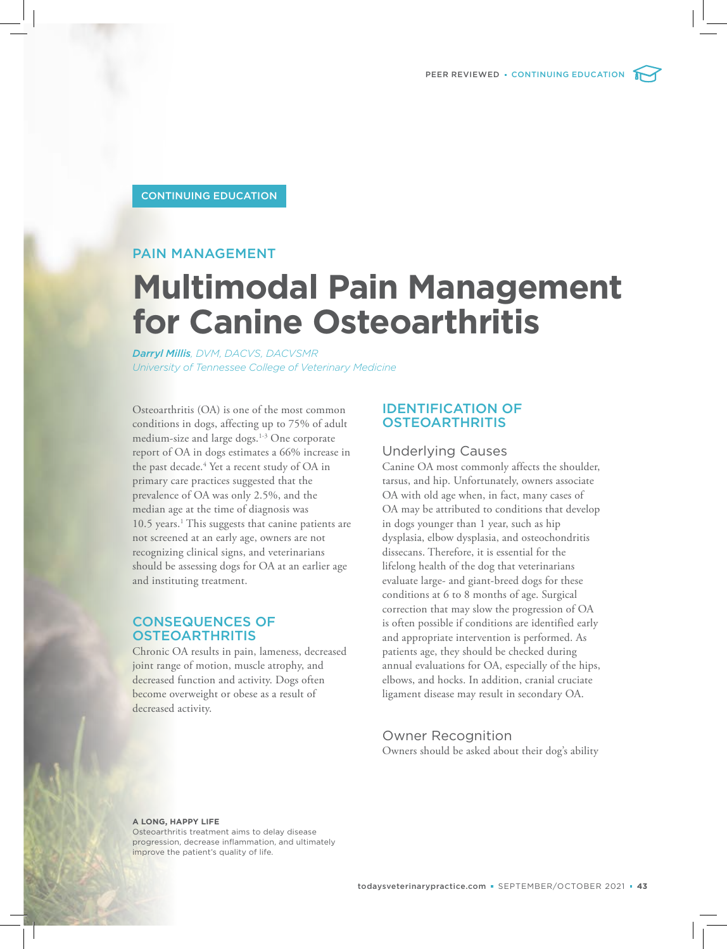PEER REVIEWED **•** CONTINUING EDUCATION

## CONTINUING EDUCATION

# PAIN MANAGEMENT

# **Multimodal Pain Management for Canine Osteoarthritis**

*Darryl Millis, DVM, DACVS, DACVSMR University of Tennessee College of Veterinary Medicine*

Osteoarthritis (OA) is one of the most common conditions in dogs, affecting up to 75% of adult medium-size and large dogs.<sup>1-3</sup> One corporate report of OA in dogs estimates a 66% increase in the past decade.<sup>4</sup> Yet a recent study of OA in primary care practices suggested that the prevalence of OA was only 2.5%, and the median age at the time of diagnosis was 10.5 years.<sup>1</sup> This suggests that canine patients are not screened at an early age, owners are not recognizing clinical signs, and veterinarians should be assessing dogs for OA at an earlier age and instituting treatment.

# CONSEQUENCES OF **OSTEOARTHRITIS**

Chronic OA results in pain, lameness, decreased joint range of motion, muscle atrophy, and decreased function and activity. Dogs often become overweight or obese as a result of decreased activity.

# IDENTIFICATION OF **OSTEOARTHRITIS**

#### Underlying Causes

Canine OA most commonly affects the shoulder, tarsus, and hip. Unfortunately, owners associate OA with old age when, in fact, many cases of OA may be attributed to conditions that develop in dogs younger than 1 year, such as hip dysplasia, elbow dysplasia, and osteochondritis dissecans. Therefore, it is essential for the lifelong health of the dog that veterinarians evaluate large- and giant-breed dogs for these conditions at 6 to 8 months of age. Surgical correction that may slow the progression of OA is often possible if conditions are identified early and appropriate intervention is performed. As patients age, they should be checked during annual evaluations for OA, especially of the hips, elbows, and hocks. In addition, cranial cruciate ligament disease may result in secondary OA.

Owner Recognition Owners should be asked about their dog's ability

**A LONG, HAPPY LIFE**

Osteoarthritis treatment aims to delay disease progression, decrease inflammation, and ultimately improve the patient's quality of life.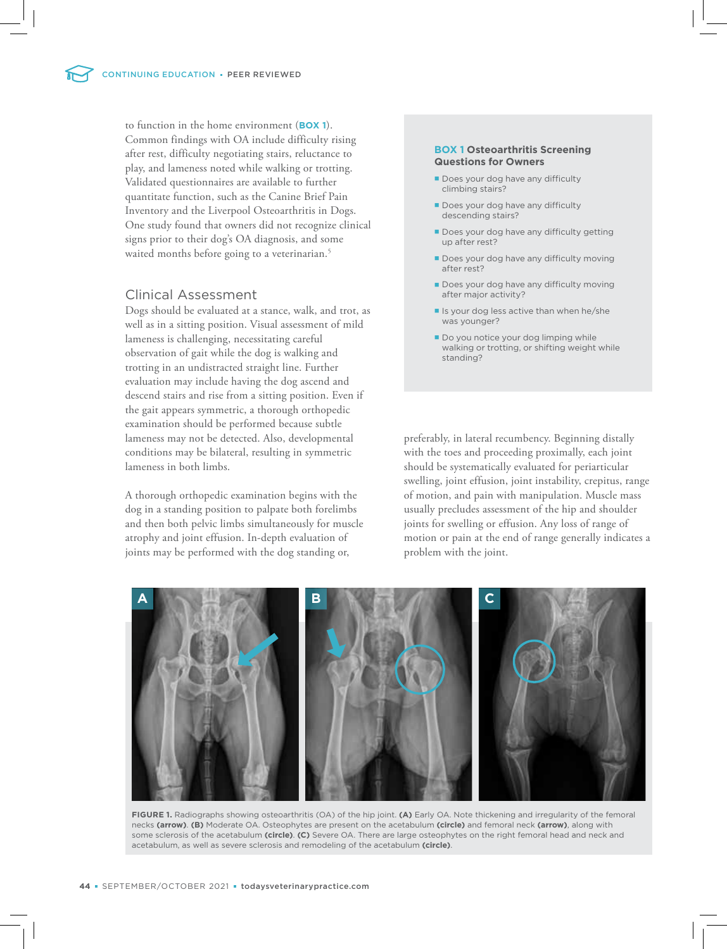to function in the home environment (**BOX 1**). Common findings with OA include difficulty rising after rest, difficulty negotiating stairs, reluctance to play, and lameness noted while walking or trotting. Validated questionnaires are available to further quantitate function, such as the Canine Brief Pain Inventory and the Liverpool Osteoarthritis in Dogs. One study found that owners did not recognize clinical signs prior to their dog's OA diagnosis, and some waited months before going to a veterinarian.<sup>5</sup>

# Clinical Assessment

Dogs should be evaluated at a stance, walk, and trot, as well as in a sitting position. Visual assessment of mild lameness is challenging, necessitating careful observation of gait while the dog is walking and trotting in an undistracted straight line. Further evaluation may include having the dog ascend and descend stairs and rise from a sitting position. Even if the gait appears symmetric, a thorough orthopedic examination should be performed because subtle lameness may not be detected. Also, developmental conditions may be bilateral, resulting in symmetric lameness in both limbs.

A thorough orthopedic examination begins with the dog in a standing position to palpate both forelimbs and then both pelvic limbs simultaneously for muscle atrophy and joint effusion. In-depth evaluation of joints may be performed with the dog standing or,

#### **BOX 1 Osteoarthritis Screening Questions for Owners**

- Does your dog have any difficulty climbing stairs?
- Does your dog have any difficulty descending stairs?
- Does your dog have any difficulty getting up after rest?
- Does your dog have any difficulty moving after rest?
- Does your dog have any difficulty moving after major activity?
- If Is your dog less active than when he/she was younger?
- Do you notice your dog limping while walking or trotting, or shifting weight while standing?

preferably, in lateral recumbency. Beginning distally with the toes and proceeding proximally, each joint should be systematically evaluated for periarticular swelling, joint effusion, joint instability, crepitus, range of motion, and pain with manipulation. Muscle mass usually precludes assessment of the hip and shoulder joints for swelling or effusion. Any loss of range of motion or pain at the end of range generally indicates a problem with the joint.



**FIGURE 1.** Radiographs showing osteoarthritis (OA) of the hip joint. **(A)** Early OA. Note thickening and irregularity of the femoral necks **(arrow)**. **(B)** Moderate OA. Osteophytes are present on the acetabulum **(circle)** and femoral neck **(arrow)**, along with some sclerosis of the acetabulum **(circle)**. **(C)** Severe OA. There are large osteophytes on the right femoral head and neck and acetabulum, as well as severe sclerosis and remodeling of the acetabulum **(circle)**.

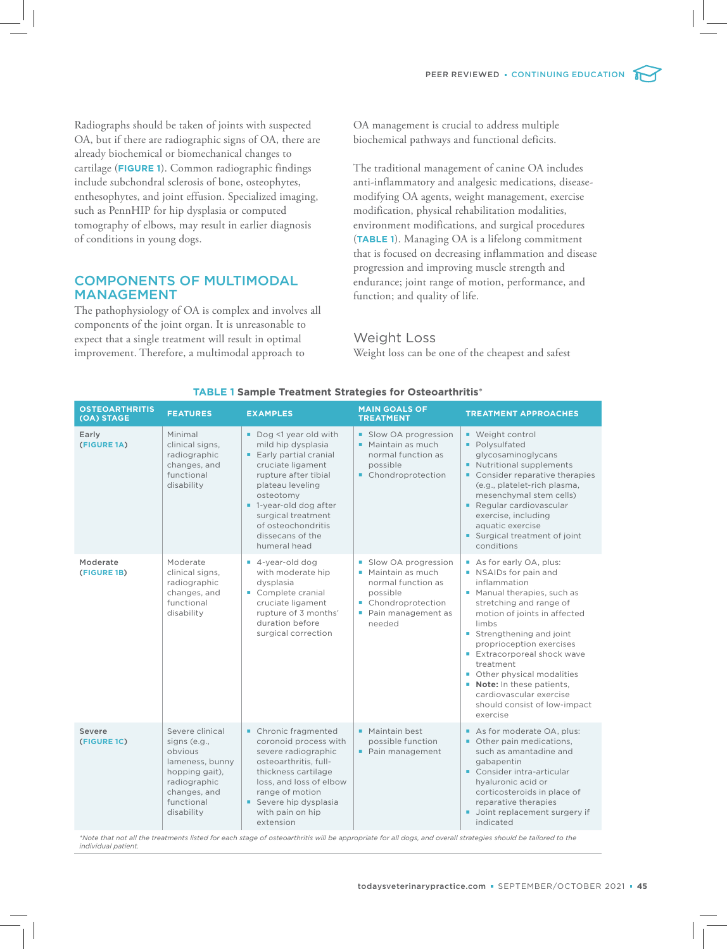Radiographs should be taken of joints with suspected OA, but if there are radiographic signs of OA, there are already biochemical or biomechanical changes to cartilage (**FIGURE 1**). Common radiographic findings include subchondral sclerosis of bone, osteophytes, enthesophytes, and joint effusion. Specialized imaging, such as PennHIP for hip dysplasia or computed tomography of elbows, may result in earlier diagnosis of conditions in young dogs.

# COMPONENTS OF MULTIMODAL MANAGEMENT

The pathophysiology of OA is complex and involves all components of the joint organ. It is unreasonable to expect that a single treatment will result in optimal improvement. Therefore, a multimodal approach to

OA management is crucial to address multiple biochemical pathways and functional deficits.

The traditional management of canine OA includes anti-inflammatory and analgesic medications, diseasemodifying OA agents, weight management, exercise modification, physical rehabilitation modalities, environment modifications, and surgical procedures (**TABLE 1**). Managing OA is a lifelong commitment that is focused on decreasing inflammation and disease progression and improving muscle strength and endurance; joint range of motion, performance, and function; and quality of life.

#### Weight Loss

Weight loss can be one of the cheapest and safest

| <b>OSTEOARTHRITIS</b><br>(OA) STAGE | <b>FEATURES</b>                                                                                                                             | <b>EXAMPLES</b>                                                                                                                                                                                                                                                              | <b>MAIN GOALS OF</b><br><b>TREATMENT</b>                                                                                           | <b>TREATMENT APPROACHES</b>                                                                                                                                                                                                                                                                                                                                                                              |
|-------------------------------------|---------------------------------------------------------------------------------------------------------------------------------------------|------------------------------------------------------------------------------------------------------------------------------------------------------------------------------------------------------------------------------------------------------------------------------|------------------------------------------------------------------------------------------------------------------------------------|----------------------------------------------------------------------------------------------------------------------------------------------------------------------------------------------------------------------------------------------------------------------------------------------------------------------------------------------------------------------------------------------------------|
| Early<br>(FIGURE 1A)                | Minimal<br>clinical signs,<br>radiographic<br>changes, and<br>functional<br>disability                                                      | Dog <1 year old with<br>mild hip dysplasia<br><b>Early partial cranial</b><br>cruciate ligament<br>rupture after tibial<br>plateau leveling<br>osteotomy<br>lacksquared 1-year-old dog after<br>surgical treatment<br>of osteochondritis<br>dissecans of the<br>humeral head | • Slow OA progression<br>• Maintain as much<br>normal function as<br>possible<br>• Chondroprotection                               | ■ Weight control<br>• Polysulfated<br>glycosaminoglycans<br>Nutritional supplements<br>٠<br>Consider reparative therapies<br>(e.g., platelet-rich plasma,<br>mesenchymal stem cells)<br>Regular cardiovascular<br>exercise, including<br>aquatic exercise<br>Surgical treatment of joint<br>conditions                                                                                                   |
| Moderate<br>(FIGURE 1B)             | Moderate<br>clinical signs,<br>radiographic<br>changes, and<br>functional<br>disability                                                     | ■ 4-year-old dog<br>with moderate hip<br>dysplasia<br>Complete cranial<br>cruciate ligament<br>rupture of 3 months'<br>duration before<br>surgical correction                                                                                                                | Slow OA progression<br>• Maintain as much<br>normal function as<br>possible<br>• Chondroprotection<br>Pain management as<br>needed | As for early OA, plus:<br>NSAIDs for pain and<br>inflammation<br>Manual therapies, such as<br>stretching and range of<br>motion of joints in affected<br>limbs<br>Strengthening and joint<br>proprioception exercises<br><b>Extracorporeal shock wave</b><br>treatment<br>• Other physical modalities<br>Note: In these patients,<br>cardiovascular exercise<br>should consist of low-impact<br>exercise |
| Severe<br>(FIGURE 1C)               | Severe clinical<br>signs (e.g.,<br>obvious<br>lameness, bunny<br>hopping gait),<br>radiographic<br>changes, and<br>functional<br>disability | • Chronic fragmented<br>coronoid process with<br>severe radiographic<br>osteoarthritis, full-<br>thickness cartilage<br>loss, and loss of elbow<br>range of motion<br>Severe hip dysplasia<br>with pain on hip<br>extension                                                  | • Maintain best<br>possible function<br>Pain management                                                                            | As for moderate OA, plus:<br>• Other pain medications.<br>such as amantadine and<br>gabapentin<br>Consider intra-articular<br>hyaluronic acid or<br>corticosteroids in place of<br>reparative therapies<br>Joint replacement surgery if<br>indicated                                                                                                                                                     |

#### **TABLE 1 Sample Treatment Strategies for Osteoarthritis**\*

*\*Note that not all the treatments listed for each stage of osteoarthritis will be appropriate for all dogs, and overall strategies should be tailored to the individual patient.*

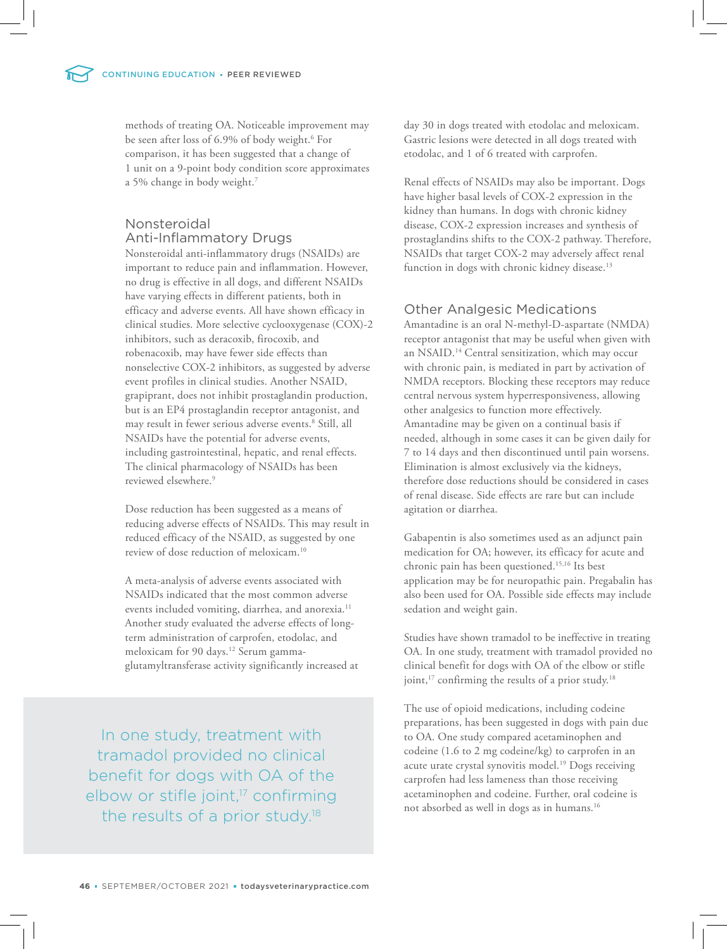methods of treating OA. Noticeable improvement may be seen after loss of 6.9% of body weight.<sup>6</sup> For comparison, it has been suggested that a change of 1 unit on a 9-point body condition score approximates a 5% change in body weight.<sup>7</sup>

# Nonsteroidal Anti-Inflammatory Drugs

Nonsteroidal anti-inflammatory drugs (NSAIDs) are important to reduce pain and inflammation. However, no drug is effective in all dogs, and different NSAIDs have varying effects in different patients, both in efficacy and adverse events. All have shown efficacy in clinical studies. More selective cyclooxygenase (COX)-2 inhibitors, such as deracoxib, firocoxib, and robenacoxib, may have fewer side effects than nonselective COX-2 inhibitors, as suggested by adverse event profiles in clinical studies. Another NSAID, grapiprant, does not inhibit prostaglandin production, but is an EP4 prostaglandin receptor antagonist, and may result in fewer serious adverse events.<sup>8</sup> Still, all NSAIDs have the potential for adverse events, including gastrointestinal, hepatic, and renal effects. The clinical pharmacology of NSAIDs has been reviewed elsewhere.<sup>9</sup>

Dose reduction has been suggested as a means of reducing adverse effects of NSAIDs. This may result in reduced efficacy of the NSAID, as suggested by one review of dose reduction of meloxicam.<sup>10</sup>

A meta-analysis of adverse events associated with NSAIDs indicated that the most common adverse events included vomiting, diarrhea, and anorexia.<sup>11</sup> Another study evaluated the adverse effects of longterm administration of carprofen, etodolac, and meloxicam for 90 days.<sup>12</sup> Serum gammaglutamyltransferase activity significantly increased at

In one study, treatment with tramadol provided no clinical benefit for dogs with OA of the elbow or stifle joint,<sup>17</sup> confirming the results of a prior study.<sup>18</sup>

day 30 in dogs treated with etodolac and meloxicam. Gastric lesions were detected in all dogs treated with etodolac, and 1 of 6 treated with carprofen.

Renal effects of NSAIDs may also be important. Dogs have higher basal levels of COX-2 expression in the kidney than humans. In dogs with chronic kidney disease, COX-2 expression increases and synthesis of prostaglandins shifts to the COX-2 pathway. Therefore, NSAIDs that target COX-2 may adversely affect renal function in dogs with chronic kidney disease.<sup>13</sup>

# Other Analgesic Medications

Amantadine is an oral N-methyl-D-aspartate (NMDA) receptor antagonist that may be useful when given with an NSAID.<sup>14</sup> Central sensitization, which may occur with chronic pain, is mediated in part by activation of NMDA receptors. Blocking these receptors may reduce central nervous system hyperresponsiveness, allowing other analgesics to function more effectively. Amantadine may be given on a continual basis if needed, although in some cases it can be given daily for 7 to 14 days and then discontinued until pain worsens. Elimination is almost exclusively via the kidneys, therefore dose reductions should be considered in cases of renal disease. Side effects are rare but can include agitation or diarrhea.

Gabapentin is also sometimes used as an adjunct pain medication for OA; however, its efficacy for acute and chronic pain has been questioned.15,16 Its best application may be for neuropathic pain. Pregabalin has also been used for OA. Possible side effects may include sedation and weight gain.

Studies have shown tramadol to be ineffective in treating OA. In one study, treatment with tramadol provided no clinical benefit for dogs with OA of the elbow or stifle joint,<sup>17</sup> confirming the results of a prior study.<sup>18</sup>

The use of opioid medications, including codeine preparations, has been suggested in dogs with pain due to OA. One study compared acetaminophen and codeine (1.6 to 2 mg codeine/kg) to carprofen in an acute urate crystal synovitis model.<sup>19</sup> Dogs receiving carprofen had less lameness than those receiving acetaminophen and codeine. Further, oral codeine is not absorbed as well in dogs as in humans.<sup>16</sup>

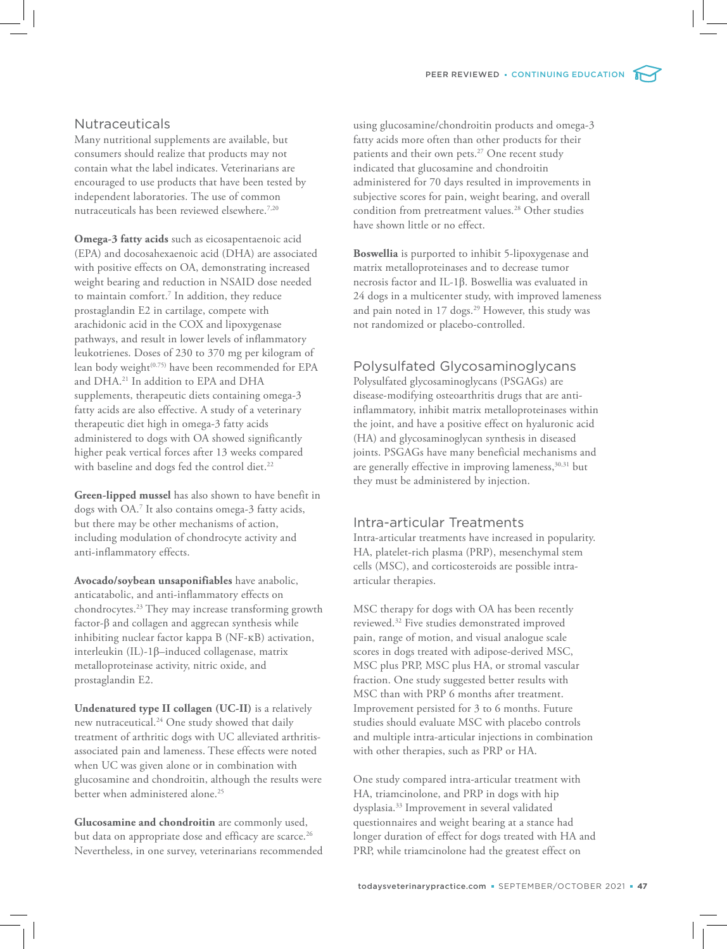# **Nutraceuticals**

Many nutritional supplements are available, but consumers should realize that products may not contain what the label indicates. Veterinarians are encouraged to use products that have been tested by independent laboratories. The use of common nutraceuticals has been reviewed elsewhere.7,20

**Omega-3 fatty acids** such as eicosapentaenoic acid (EPA) and docosahexaenoic acid (DHA) are associated with positive effects on OA, demonstrating increased weight bearing and reduction in NSAID dose needed to maintain comfort.<sup>7</sup> In addition, they reduce prostaglandin E2 in cartilage, compete with arachidonic acid in the COX and lipoxygenase pathways, and result in lower levels of inflammatory leukotrienes. Doses of 230 to 370 mg per kilogram of lean body weight<sup>(0.75)</sup> have been recommended for EPA and DHA.<sup>21</sup> In addition to EPA and DHA supplements, therapeutic diets containing omega-3 fatty acids are also effective. A study of a veterinary therapeutic diet high in omega-3 fatty acids administered to dogs with OA showed significantly higher peak vertical forces after 13 weeks compared with baseline and dogs fed the control diet.<sup>22</sup>

**Green-lipped mussel** has also shown to have benefit in dogs with OA.<sup>7</sup> It also contains omega-3 fatty acids, but there may be other mechanisms of action, including modulation of chondrocyte activity and anti-inflammatory effects.

**Avocado/soybean unsaponifiables** have anabolic, anticatabolic, and anti-inflammatory effects on chondrocytes.<sup>23</sup> They may increase transforming growth factor-β and collagen and aggrecan synthesis while inhibiting nuclear factor kappa B (NF-κB) activation, interleukin (IL)-1β–induced collagenase, matrix metalloproteinase activity, nitric oxide, and prostaglandin E2.

**Undenatured type II collagen (UC-II)** is a relatively new nutraceutical.<sup>24</sup> One study showed that daily treatment of arthritic dogs with UC alleviated arthritisassociated pain and lameness. These effects were noted when UC was given alone or in combination with glucosamine and chondroitin, although the results were better when administered alone.<sup>25</sup>

**Glucosamine and chondroitin** are commonly used, but data on appropriate dose and efficacy are scarce.<sup>26</sup> Nevertheless, in one survey, veterinarians recommended using glucosamine/chondroitin products and omega-3 fatty acids more often than other products for their patients and their own pets.<sup>27</sup> One recent study indicated that glucosamine and chondroitin administered for 70 days resulted in improvements in subjective scores for pain, weight bearing, and overall condition from pretreatment values.<sup>28</sup> Other studies have shown little or no effect.

**Boswellia** is purported to inhibit 5-lipoxygenase and matrix metalloproteinases and to decrease tumor necrosis factor and IL-1β. Boswellia was evaluated in 24 dogs in a multicenter study, with improved lameness and pain noted in 17 dogs.<sup>29</sup> However, this study was not randomized or placebo-controlled.

# Polysulfated Glycosaminoglycans

Polysulfated glycosaminoglycans (PSGAGs) are disease-modifying osteoarthritis drugs that are antiinflammatory, inhibit matrix metalloproteinases within the joint, and have a positive effect on hyaluronic acid (HA) and glycosaminoglycan synthesis in diseased joints. PSGAGs have many beneficial mechanisms and are generally effective in improving lameness,<sup>30,31</sup> but they must be administered by injection.

# Intra-articular Treatments

Intra-articular treatments have increased in popularity. HA, platelet-rich plasma (PRP), mesenchymal stem cells (MSC), and corticosteroids are possible intraarticular therapies.

MSC therapy for dogs with OA has been recently reviewed.<sup>32</sup> Five studies demonstrated improved pain, range of motion, and visual analogue scale scores in dogs treated with adipose-derived MSC, MSC plus PRP, MSC plus HA, or stromal vascular fraction. One study suggested better results with MSC than with PRP 6 months after treatment. Improvement persisted for 3 to 6 months. Future studies should evaluate MSC with placebo controls and multiple intra-articular injections in combination with other therapies, such as PRP or HA.

One study compared intra-articular treatment with HA, triamcinolone, and PRP in dogs with hip dysplasia.<sup>33</sup> Improvement in several validated questionnaires and weight bearing at a stance had longer duration of effect for dogs treated with HA and PRP, while triamcinolone had the greatest effect on

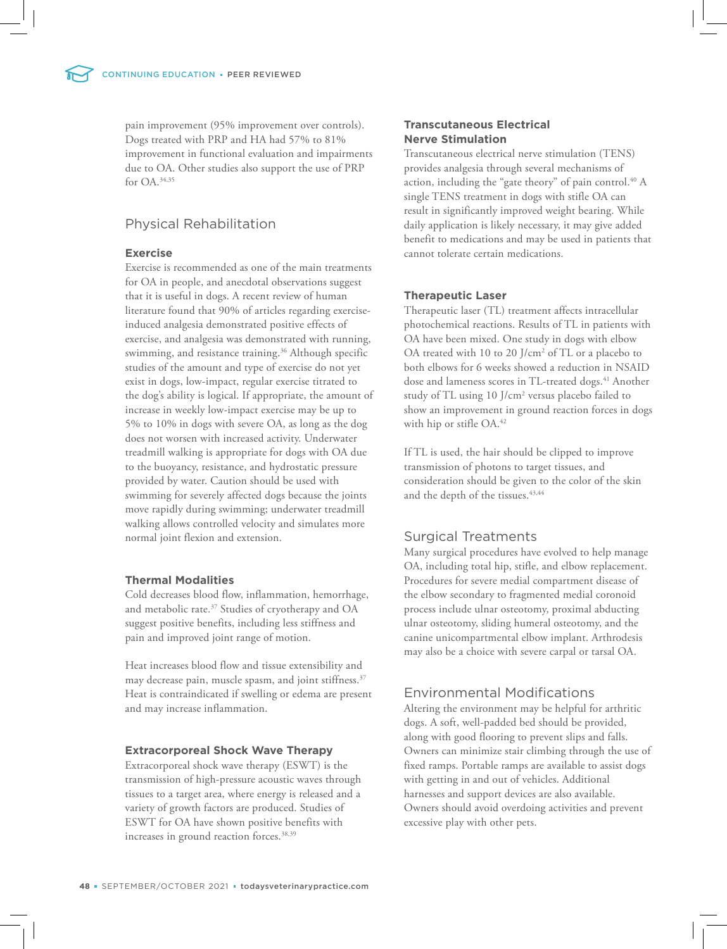pain improvement (95% improvement over controls). Dogs treated with PRP and HA had 57% to 81% improvement in functional evaluation and impairments due to OA. Other studies also support the use of PRP for OA.34,35

# Physical Rehabilitation

#### **Exercise**

Exercise is recommended as one of the main treatments for OA in people, and anecdotal observations suggest that it is useful in dogs. A recent review of human literature found that 90% of articles regarding exerciseinduced analgesia demonstrated positive effects of exercise, and analgesia was demonstrated with running, swimming, and resistance training.<sup>36</sup> Although specific studies of the amount and type of exercise do not yet exist in dogs, low-impact, regular exercise titrated to the dog's ability is logical. If appropriate, the amount of increase in weekly low-impact exercise may be up to 5% to 10% in dogs with severe OA, as long as the dog does not worsen with increased activity. Underwater treadmill walking is appropriate for dogs with OA due to the buoyancy, resistance, and hydrostatic pressure provided by water. Caution should be used with swimming for severely affected dogs because the joints move rapidly during swimming; underwater treadmill walking allows controlled velocity and simulates more normal joint flexion and extension.

#### **Thermal Modalities**

Cold decreases blood flow, inflammation, hemorrhage, and metabolic rate.<sup>37</sup> Studies of cryotherapy and OA suggest positive benefits, including less stiffness and pain and improved joint range of motion.

Heat increases blood flow and tissue extensibility and may decrease pain, muscle spasm, and joint stiffness.<sup>37</sup> Heat is contraindicated if swelling or edema are present and may increase inflammation.

#### **Extracorporeal Shock Wave Therapy**

Extracorporeal shock wave therapy (ESWT) is the transmission of high-pressure acoustic waves through tissues to a target area, where energy is released and a variety of growth factors are produced. Studies of ESWT for OA have shown positive benefits with increases in ground reaction forces.<sup>38,39</sup>

## **Transcutaneous Electrical Nerve Stimulation**

Transcutaneous electrical nerve stimulation (TENS) provides analgesia through several mechanisms of action, including the "gate theory" of pain control.<sup>40</sup> A single TENS treatment in dogs with stifle OA can result in significantly improved weight bearing. While daily application is likely necessary, it may give added benefit to medications and may be used in patients that cannot tolerate certain medications.

#### **Therapeutic Laser**

Therapeutic laser (TL) treatment affects intracellular photochemical reactions. Results of TL in patients with OA have been mixed. One study in dogs with elbow OA treated with 10 to 20 J/cm<sup>2</sup> of TL or a placebo to both elbows for 6 weeks showed a reduction in NSAID dose and lameness scores in TL-treated dogs.<sup>41</sup> Another study of TL using 10 J/cm<sup>2</sup> versus placebo failed to show an improvement in ground reaction forces in dogs with hip or stifle OA.<sup>42</sup>

If TL is used, the hair should be clipped to improve transmission of photons to target tissues, and consideration should be given to the color of the skin and the depth of the tissues.  $43,44$ 

# Surgical Treatments

Many surgical procedures have evolved to help manage OA, including total hip, stifle, and elbow replacement. Procedures for severe medial compartment disease of the elbow secondary to fragmented medial coronoid process include ulnar osteotomy, proximal abducting ulnar osteotomy, sliding humeral osteotomy, and the canine unicompartmental elbow implant. Arthrodesis may also be a choice with severe carpal or tarsal OA.

# Environmental Modifications

Altering the environment may be helpful for arthritic dogs. A soft, well-padded bed should be provided, along with good flooring to prevent slips and falls. Owners can minimize stair climbing through the use of fixed ramps. Portable ramps are available to assist dogs with getting in and out of vehicles. Additional harnesses and support devices are also available. Owners should avoid overdoing activities and prevent excessive play with other pets.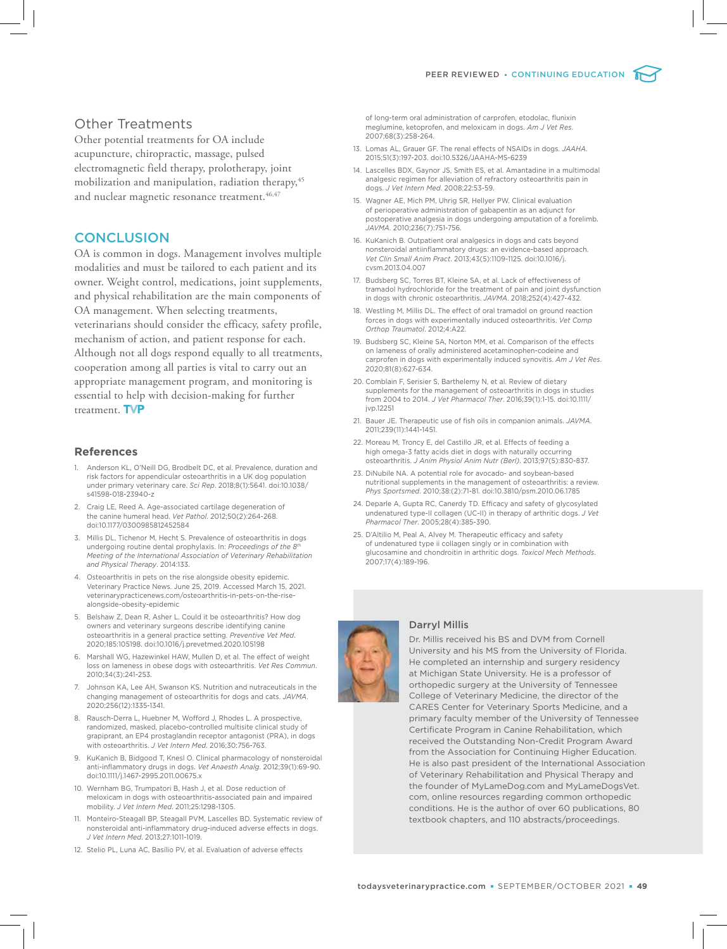

## Other Treatments

Other potential treatments for OA include acupuncture, chiropractic, massage, pulsed electromagnetic field therapy, prolotherapy, joint mobilization and manipulation, radiation therapy,<sup>45</sup> and nuclear magnetic resonance treatment.<sup>46,47</sup>

### **CONCLUSION**

OA is common in dogs. Management involves multiple modalities and must be tailored to each patient and its owner. Weight control, medications, joint supplements, and physical rehabilitation are the main components of OA management. When selecting treatments, veterinarians should consider the efficacy, safety profile, mechanism of action, and patient response for each. Although not all dogs respond equally to all treatments, cooperation among all parties is vital to carry out an appropriate management program, and monitoring is essential to help with decision-making for further treatment. TVP

#### **References**

- Anderson KL, O'Neill DG, Brodbelt DC, et al. Prevalence, duration and risk factors for appendicular osteoarthritis in a UK dog population under primary veterinary care. *Sci Rep*. 2018;8(1):5641. doi:10.1038/ s41598-018-23940-z
- 2. Craig LE, Reed A. Age-associated cartilage degeneration of the canine humeral head. *Vet Pathol*. 2012;50(2):264-268. doi:10.1177/0300985812452584
- 3. Millis DL, Tichenor M, Hecht S. Prevalence of osteoarthritis in dogs undergoing routine dental prophylaxis. In: *Proceedings of the 8th Meeting of the International Association of Veterinary Rehabilitation and Physical Therapy*. 2014:133.
- 4. Osteoarthritis in pets on the rise alongside obesity epidemic. Veterinary Practice News. June 25, 2019. Accessed March 15, 2021. veterinarypracticenews.com/osteoarthritis-in-pets-on-the-risealongside-obesity-epidemic
- 5. Belshaw Z, Dean R, Asher L. Could it be osteoarthritis? How dog owners and veterinary surgeons describe identifying canine osteoarthritis in a general practice setting. *Preventive Vet Med*. 2020;185:105198. doi:10.1016/j.prevetmed.2020.105198
- 6. Marshall WG, Hazewinkel HAW, Mullen D, et al. The effect of weight loss on lameness in obese dogs with osteoarthritis. *Vet Res Commun*. 2010;34(3):241-253.
- 7. Johnson KA, Lee AH, Swanson KS. Nutrition and nutraceuticals in the changing management of osteoarthritis for dogs and cats. *JAVMA*. 2020;256(12):1335-1341.
- 8. Rausch-Derra L, Huebner M, Wofford J, Rhodes L. A prospective, randomized, masked, placebo-controlled multisite clinical study of grapiprant, an EP4 prostaglandin receptor antagonist (PRA), in dogs with osteoarthritis. *J Vet Intern Med*. 2016;30:756-763.
- 9. KuKanich B, Bidgood T, Knesl O. Clinical pharmacology of nonsteroidal anti-inflammatory drugs in dogs. *Vet Anaesth Analg*. 2012;39(1):69-90. doi:10.1111/j.1467-2995.2011.00675.x
- 10. Wernham BG, Trumpatori B, Hash J, et al. Dose reduction of meloxicam in dogs with osteoarthritis-associated pain and impaired mobility. *J Vet Intern Med*. 2011;25:1298-1305.
- 11. Monteiro-Steagall BP, Steagall PVM, Lascelles BD. Systematic review of nonsteroidal anti-inflammatory drug-induced adverse effects in dogs. *J Vet Intern Med*. 2013;27:1011-1019.
- 12. Stelio PL, Luna AC, Basílio PV, et al. Evaluation of adverse effects

of long-term oral administration of carprofen, etodolac, flunixin meglumine, ketoprofen, and meloxicam in dogs. *Am J Vet Res*. 2007;68(3):258-264.

- 13. Lomas AL, Grauer GF. The renal effects of NSAIDs in dogs. *JAAHA*. 2015;51(3):197-203. doi:10.5326/JAAHA-MS-6239
- 14. Lascelles BDX, Gaynor JS, Smith ES, et al. Amantadine in a multimodal analgesic regimen for alleviation of refractory osteoarthritis pain in dogs. *J Vet Intern Med*. 2008;22:53-59.
- 15. Wagner AE, Mich PM, Uhrig SR, Hellyer PW. Clinical evaluation of perioperative administration of gabapentin as an adjunct for postoperative analgesia in dogs undergoing amputation of a forelimb. *JAVMA*. 2010;236(7):751-756.
- 16. KuKanich B. Outpatient oral analgesics in dogs and cats beyond nonsteroidal antiinflammatory drugs: an evidence-based approach. *Vet Clin Small Anim Pract*. 2013;43(5):1109-1125. doi:10.1016/j. cvsm.2013.04.007
- 17. Budsberg SC, Torres BT, Kleine SA, et al. Lack of effectiveness of tramadol hydrochloride for the treatment of pain and joint dysfunction in dogs with chronic osteoarthritis. *JAVMA*. 2018;252(4):427-432.
- 18. Westling M, Millis DL. The effect of oral tramadol on ground reaction forces in dogs with experimentally induced osteoarthritis. *Vet Comp Orthop Traumatol*. 2012;4:A22.
- 19. Budsberg SC, Kleine SA, Norton MM, et al. Comparison of the effects on lameness of orally administered acetaminophen-codeine and carprofen in dogs with experimentally induced synovitis. *Am J Vet Res*. 2020;81(8):627-634.
- 20. Comblain F, Serisier S, Barthelemy N, et al. Review of dietary supplements for the management of osteoarthritis in dogs in studies from 2004 to 2014. *J Vet Pharmacol Ther*. 2016;39(1):1-15. doi:10.1111/ jvp.12251
- 21. Bauer JE. Therapeutic use of fish oils in companion animals. *JAVMA*. 2011;239(11):1441-1451.
- 22. Moreau M, Troncy E, del Castillo JR, et al. Effects of feeding a high omega-3 fatty acids diet in dogs with naturally occurring osteoarthritis. *J Anim Physiol Anim Nutr (Berl)*. 2013;97(5):830-837.
- 23. DiNubile NA. A potential role for avocado- and soybean-based nutritional supplements in the management of osteoarthritis: a review. *Phys Sportsmed*. 2010;38:(2):71-81. doi:10.3810/psm.2010.06.1785
- 24. Deparle A, Gupta RC, Canerdy TD. Efficacy and safety of glycosylated undenatured type-II collagen (UC-II) in therapy of arthritic dogs. *J Vet Pharmacol Ther*. 2005;28(4):385-390.
- 25. D'Altilio M, Peal A, Alvey M. Therapeutic efficacy and safety of undenatured type ii collagen singly or in combination with glucosamine and chondroitin in arthritic dogs. *Toxicol Mech Methods*. 2007;17(4):189-196.

#### Darryl Millis



Dr. Millis received his BS and DVM from Cornell University and his MS from the University of Florida. He completed an internship and surgery residency at Michigan State University. He is a professor of orthopedic surgery at the University of Tennessee College of Veterinary Medicine, the director of the CARES Center for Veterinary Sports Medicine, and a primary faculty member of the University of Tennessee Certificate Program in Canine Rehabilitation, which received the Outstanding Non-Credit Program Award from the Association for Continuing Higher Education. He is also past president of the International Association of Veterinary Rehabilitation and Physical Therapy and the founder of MyLameDog.com and MyLameDogsVet. com, online resources regarding common orthopedic conditions. He is the author of over 60 publications, 80 textbook chapters, and 110 abstracts/proceedings.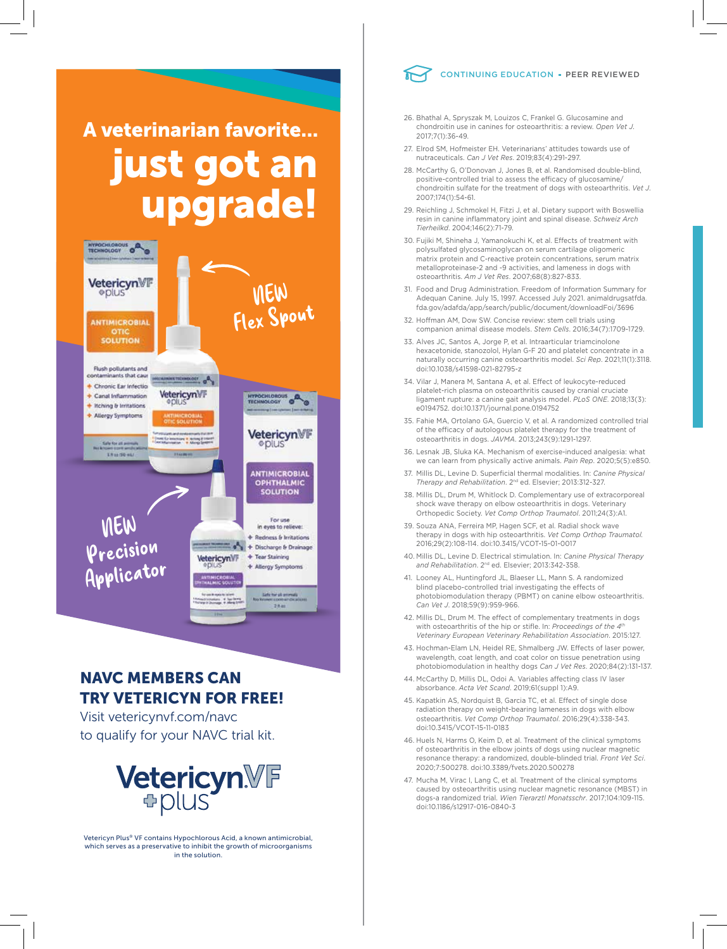# A veterinarian favorite... just got an upgrade!



# NAVC MEMBERS CAN TRY VETERICYN FOR FREE!

Visit vetericynvf.com/navc to qualify for your NAVC trial kit.



Vetericyn Plus® VF contains Hypochlorous Acid, a known antimicrobial, which serves as a preservative to inhibit the growth of microorganisms in the solution.



- 26. Bhathal A, Spryszak M, Louizos C, Frankel G. Glucosamine and chondroitin use in canines for osteoarthritis: a review. *Open Vet J*. 2017;7(1):36-49.
- 27. Elrod SM, Hofmeister EH. Veterinarians' attitudes towards use of nutraceuticals. *Can J Vet Res*. 2019;83(4):291-297.
- 28. McCarthy G, O'Donovan J, Jones B, et al. Randomised double-blind, positive-controlled trial to assess the efficacy of glucosamine/ chondroitin sulfate for the treatment of dogs with osteoarthritis. *Vet J*. 2007;174(1):54-61.
- 29. Reichling J, Schmokel H, Fitzi J, et al. Dietary support with Boswellia resin in canine inflammatory joint and spinal disease. *Schweiz Arch Tierheilkd*. 2004;146(2):71-79.
- 30. Fujiki M, Shineha J, Yamanokuchi K, et al. Effects of treatment with polysulfated glycosaminoglycan on serum cartilage oligomeric matrix protein and C-reactive protein concentrations, serum matrix metalloproteinase-2 and -9 activities, and lameness in dogs with osteoarthritis. *Am J Vet Res*. 2007;68(8):827-833.
- 31. Food and Drug Administration. Freedom of Information Summary for Adequan Canine. July 15, 1997. Accessed July 2021. animaldrugsatfda. fda.gov/adafda/app/search/public/document/downloadFoi/3696
- 32. Hoffman AM, Dow SW. Concise review: stem cell trials using companion animal disease models. *Stem Cells*. 2016;34(7):1709-1729.
- 33. Alves JC, Santos A, Jorge P, et al. Intraarticular triamcinolone hexacetonide, stanozolol, Hylan G-F 20 and platelet concentrate in a naturally occurring canine osteoarthritis model. *Sci Rep*. 2021;11(1):3118. doi:10.1038/s41598-021-82795-z
- 34. Vilar J, Manera M, Santana A, et al. Effect of leukocyte-reduced platelet-rich plasma on osteoarthritis caused by cranial cruciate ligament rupture: a canine gait analysis model. *PLoS ONE*. 2018;13(3): e0194752. doi:10.1371/journal.pone.0194752
- 35. Fahie MA, Ortolano GA, Guercio V, et al. A randomized controlled trial of the efficacy of autologous platelet therapy for the treatment of osteoarthritis in dogs. *JAVMA*. 2013;243(9):1291-1297.
- 36. Lesnak JB, Sluka KA. Mechanism of exercise-induced analgesia: what we can learn from physically active animals. *Pain Rep*. 2020;5(5):e850.
- 37. Millis DL, Levine D. Superficial thermal modalities. In: *Canine Physical Therapy and Rehabilitation*. 2nd ed. Elsevier; 2013:312-327.
- 38. Millis DL, Drum M, Whitlock D. Complementary use of extracorporeal shock wave therapy on elbow osteoarthritis in dogs. Veterinary Orthopedic Society. *Vet Comp Orthop Traumatol*. 2011;24(3):A1.
- 39. Souza ANA, Ferreira MP, Hagen SCF, et al. Radial shock wave therapy in dogs with hip osteoarthritis. *Vet Comp Orthop Traumatol.* 2016;29(2):108-114. doi:10.3415/VCOT-15-01-0017
- 40. Millis DL, Levine D. Electrical stimulation. In: *Canine Physical Therapy and Rehabilitation*. 2nd ed. Elsevier; 2013:342-358.
- 41. Looney AL, Huntingford JL, Blaeser LL, Mann S. A randomized blind placebo-controlled trial investigating the effects of photobiomodulation therapy (PBMT) on canine elbow osteoarthritis. *Can Vet J*. 2018;59(9):959-966.
- 42. Millis DL, Drum M. The effect of complementary treatments in dogs with osteoarthritis of the hip or stifle. In: *Proceedings of the 4th Veterinary European Veterinary Rehabilitation Association*. 2015:127.
- 43. Hochman-Elam LN, Heidel RE, Shmalberg JW. Effects of laser power, wavelength, coat length, and coat color on tissue penetration using photobiomodulation in healthy dogs *Can J Vet Res*. 2020;84(2):131-137.
- 44. McCarthy D, Millis DL, Odoi A. Variables affecting class IV laser absorbance. *Acta Vet Scand*. 2019;61(suppl 1):A9.
- 45. Kapatkin AS, Nordquist B, Garcia TC, et al. Effect of single dose radiation therapy on weight-bearing lameness in dogs with elbow osteoarthritis. *Vet Comp Orthop Traumatol*. 2016;29(4):338-343. doi:10.3415/VCOT-15-11-0183
- 46. Huels N, Harms O, Keim D, et al. Treatment of the clinical symptoms of osteoarthritis in the elbow joints of dogs using nuclear magnetic resonance therapy: a randomized, double-blinded trial. *Front Vet Sci*. 2020;7:500278. doi:10.3389/fvets.2020.500278
- 47. Mucha M, Virac I, Lang C, et al. Treatment of the clinical symptoms caused by osteoarthritis using nuclear magnetic resonance (MBST) in dogs-a randomized trial. *Wien Tierarztl Monatsschr*. 2017;104:109-115. doi:10.1186/s12917-016-0840-3